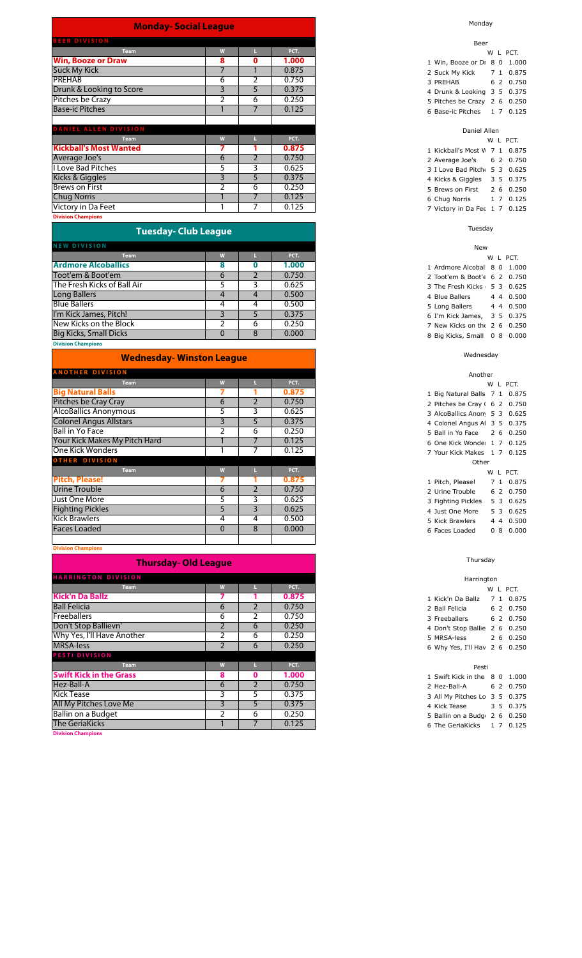| <b>Monday-Social League</b>   |   |                |       |
|-------------------------------|---|----------------|-------|
| <b>BEER DIVISION</b>          |   |                |       |
| <b>Team</b>                   | W | ш              | PCT.  |
| <b>Win, Booze or Draw</b>     | 8 | 0              | 1.000 |
| <b>Suck My Kick</b>           | 7 |                | 0.875 |
| <b>PREHAB</b>                 | 6 | $\overline{2}$ | 0.750 |
| Drunk & Looking to Score      | 3 | 5              | 0.375 |
| Pitches be Crazy              | 2 | 6              | 0.250 |
| <b>Base-ic Pitches</b>        |   | 7              | 0.125 |
|                               |   |                |       |
| <b>DANIEL ALLEN DIVISION</b>  |   |                |       |
| <b>Team</b>                   | W |                | PCT.  |
| <b>Kickball's Most Wanted</b> | 7 |                | 0.875 |
| Average Joe's                 | 6 | $\overline{2}$ | 0.750 |
| <b>I Love Bad Pitches</b>     | 5 | 3              | 0.625 |
| Kicks & Giggles               | 3 | 5              | 0.375 |
| <b>Brews on First</b>         | 2 | 6              | 0.250 |
| <b>Chug Norris</b>            |   | 7              | 0.125 |
| Victory in Da Feet            |   | 7              | 0.125 |
| <b>Division Champions</b>     |   |                |       |

| <b>Tuesday- Club League</b> |  |
|-----------------------------|--|
|                             |  |
|                             |  |

| <b>NEW DIVISION</b>           |   |   |       |
|-------------------------------|---|---|-------|
| <b>Team</b>                   |   |   | PCT.  |
| <b>Ardmore Alcoballics</b>    |   |   | 1.000 |
| Toot'em & Boot'em             | n |   | 0.750 |
| The Fresh Kicks of Ball Air   |   |   | 0.625 |
| Long Ballers                  |   |   | 0.500 |
| <b>Blue Ballers</b>           |   |   | 0.500 |
| I'm Kick James, Pitch!        |   |   | 0.375 |
| New Kicks on the Block        |   | 6 | 0.250 |
| <b>Big Kicks, Small Dicks</b> |   | 8 | 0.000 |
| <b>Division Champions</b>     |   |   |       |

| <b>Wednesday- Winston League</b> |          |   |       |
|----------------------------------|----------|---|-------|
| <b>ANOTHER DIVISION</b>          |          |   |       |
| <b>Team</b>                      | W        |   | PCT.  |
| <b>Big Natural Balls</b>         |          |   | 0.875 |
| Pitches be Cray Cray             | 6        | 2 | 0.750 |
| <b>AlcoBallics Anonymous</b>     | 5        | 3 | 0.625 |
| <b>Colonel Angus Allstars</b>    | 3        | 5 | 0.375 |
| <b>Ball in Yo Face</b>           | 2        | 6 | 0.250 |
| Your Kick Makes My Pitch Hard    |          |   | 0.125 |
| One Kick Wonders                 |          |   | 0.125 |
| <b>OTHER DIVISION</b>            |          |   |       |
| <b>Team</b>                      | W        | ш | PCT.  |
| <b>Pitch, Please!</b>            |          |   | 0.875 |
| <b>Urine Trouble</b>             | 6        | 2 | 0.750 |
| Just One More                    | 5.       | 3 | 0.625 |
| <b>Fighting Pickles</b>          | 5        | 3 | 0.625 |
| <b>Kick Brawlers</b>             | 4        | 4 | 0.500 |
| <b>Faces Loaded</b>              | $\Omega$ | 8 | 0.000 |
|                                  |          |   |       |

**Division Champions**

### **Thursday- Old League**

| <b>HARRINGTON DIVISION</b>     |   |               |       |
|--------------------------------|---|---------------|-------|
| <b>Team</b>                    | W |               | PCT.  |
| <b>Kick'n Da Ballz</b>         |   |               | 0.875 |
| <b>Ball Felicia</b>            | 6 | $\mathcal{P}$ | 0.750 |
| Freeballers                    | 6 |               | 0.750 |
| Don't Stop Ballievn'           |   | 6             | 0.250 |
| Why Yes, I'll Have Another     |   | 6             | 0.250 |
| <b>MRSA-less</b>               |   | 6             | 0.250 |
| PESTI DIVISION                 |   |               |       |
| <b>Team</b>                    | W |               | PCT.  |
| <b>Swift Kick in the Grass</b> | 8 | 0             | 1.000 |
| Hez-Ball-A                     | 6 | $\mathcal{P}$ | 0.750 |
| <b>Kick Tease</b>              | 3 | 5.            | 0.375 |
| All My Pitches Love Me         | 3 | 5             | 0.375 |
| Ballin on a Budget             |   | 6             | 0.250 |
| <b>The GeriaKicks</b>          |   |               | 0.125 |
| <b>Division Champions</b>      |   |               |       |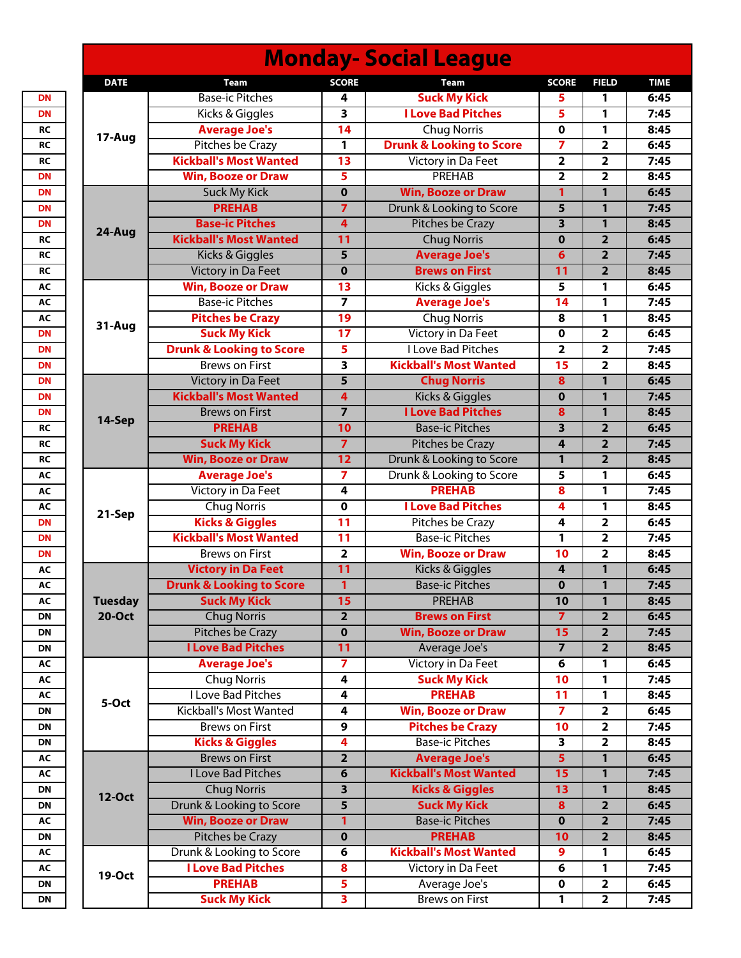|                |                                     |                         | <b>Monday-Social League</b>         |                |                         |             |
|----------------|-------------------------------------|-------------------------|-------------------------------------|----------------|-------------------------|-------------|
| <b>DATE</b>    | <b>Team</b>                         | <b>SCORE</b>            | <b>Team</b>                         | <b>SCORE</b>   | <b>FIELD</b>            | <b>TIME</b> |
|                | <b>Base-ic Pitches</b>              | 4                       | <b>Suck My Kick</b>                 | 5              | 1                       | 6:45        |
| 17-Aug         | Kicks & Giggles                     | 3                       | <b>I Love Bad Pitches</b>           | 5              | 1                       | 7:45        |
|                | <b>Average Joe's</b>                | 14                      | Chug Norris                         | $\mathbf 0$    | 1                       | 8:45        |
|                | <b>Pitches be Crazy</b>             | 1                       | <b>Drunk &amp; Looking to Score</b> | 7              | 2                       | 6:45        |
|                | <b>Kickball's Most Wanted</b>       | 13                      | Victory in Da Feet                  | 2              | 2                       | 7:45        |
|                | <b>Win, Booze or Draw</b>           | 5                       | <b>PREHAB</b>                       | 2              | 2                       | 8:45        |
|                | <b>Suck My Kick</b>                 | $\mathbf 0$             | <b>Win, Booze or Draw</b>           | 1              | $\mathbf{1}$            | 6:45        |
|                | <b>PREHAB</b>                       | $\overline{7}$          | Drunk & Looking to Score            | 5              | $\mathbf{1}$            | 7:45        |
|                | <b>Base-ic Pitches</b>              | 4                       | Pitches be Crazy                    | 3              | $\mathbf{1}$            | 8:45        |
| 24-Aug         | <b>Kickball's Most Wanted</b>       | 11                      | <b>Chug Norris</b>                  | $\bf{0}$       | $\overline{2}$          | 6:45        |
|                | Kicks & Giggles                     | 5                       | <b>Average Joe's</b>                | 6              | $\overline{2}$          | 7:45        |
|                | <b>Victory in Da Feet</b>           | $\mathbf 0$             | <b>Brews on First</b>               | 11             | $\overline{2}$          | 8:45        |
|                | <b>Win, Booze or Draw</b>           | 13                      | Kicks & Giggles                     | 5              | 1                       | 6:45        |
|                | <b>Base-ic Pitches</b>              | 7                       | <b>Average Joe's</b>                | 14             | 1                       | 7:45        |
|                | <b>Pitches be Crazy</b>             | 19                      | <b>Chug Norris</b>                  | 8              | 1                       | 8:45        |
| 31-Aug         | <b>Suck My Kick</b>                 | 17                      | Victory in Da Feet                  | $\mathbf 0$    | 2                       | 6:45        |
|                | <b>Drunk &amp; Looking to Score</b> | 5                       | <b>I Love Bad Pitches</b>           | 2              | $\overline{2}$          | 7:45        |
|                | <b>Brews on First</b>               | $\overline{\mathbf{3}}$ | <b>Kickball's Most Wanted</b>       | 15             | 2                       | 8:45        |
|                | Victory in Da Feet                  | 5                       | <b>Chug Norris</b>                  | 8              | $\mathbf{1}$            | 6:45        |
|                | <b>Kickball's Most Wanted</b>       | 4                       | Kicks & Giggles                     | $\bf{0}$       | $\mathbf{1}$            | 7:45        |
|                | <b>Brews on First</b>               | $\overline{7}$          | <b>I Love Bad Pitches</b>           | 8              | $\mathbf{1}$            | 8:45        |
| 14-Sep         | <b>PREHAB</b>                       | 10                      | <b>Base-ic Pitches</b>              | 3              | $\overline{2}$          | 6:45        |
|                | <b>Suck My Kick</b>                 | $\overline{7}$          | <b>Pitches be Crazy</b>             | 4              | $\overline{2}$          | 7:45        |
|                | <b>Win, Booze or Draw</b>           | 12                      | Drunk & Looking to Score            | $\mathbf{1}$   | $\overline{2}$          | 8:45        |
|                |                                     |                         |                                     |                |                         |             |
|                | <b>Average Joe's</b>                | 7                       | Drunk & Looking to Score            | 5              | 1                       | 6:45        |
|                | Victory in Da Feet                  | 4                       | <b>PREHAB</b>                       | 8              | 1                       | 7:45        |
| 21-Sep         | <b>Chug Norris</b>                  | 0                       | <b>I Love Bad Pitches</b>           | 4              | 1                       | 8:45        |
|                | <b>Kicks &amp; Giggles</b>          | $\overline{11}$         | <b>Pitches be Crazy</b>             | 4              | 2                       | 6:45        |
|                | <b>Kickball's Most Wanted</b>       | $\overline{11}$         | <b>Base-ic Pitches</b>              | 1              | $\overline{2}$          | 7:45        |
|                | <b>Brews on First</b>               | 2                       | <b>Win, Booze or Draw</b>           | 10             | 2                       | 8:45        |
|                | <b>Victory in Da Feet</b>           | $\overline{11}$         | <b>Kicks &amp; Giggles</b>          | 4              | $\mathbf{1}$            | 6:45        |
|                | <b>Drunk &amp; Looking to Score</b> | $\overline{1}$          | <b>Base-ic Pitches</b>              | $\mathbf 0$    | 1                       | 7:45        |
| <b>Tuesday</b> | <b>Suck My Kick</b>                 | 15                      | PREHAB                              | 10             | $\mathbf{1}$            | 8:45        |
| <b>20-Oct</b>  | <b>Chug Norris</b>                  | $\overline{\mathbf{2}}$ | <b>Brews on First</b>               | $\overline{7}$ | $\overline{\mathbf{2}}$ | 6:45        |
|                | <b>Pitches be Crazy</b>             | $\mathbf 0$             | <b>Win, Booze or Draw</b>           | 15             | $\overline{2}$          | 7:45        |
|                | <b>I Love Bad Pitches</b>           | $\overline{11}$         | Average Joe's                       | $\overline{7}$ | $\overline{2}$          | 8:45        |
|                | <b>Average Joe's</b>                | 7                       | Victory in Da Feet                  | 6              | 1                       | 6:45        |
|                | <b>Chug Norris</b>                  | 4                       | <b>Suck My Kick</b>                 | 10             | 1                       | 7:45        |
| 5-Oct          | <b>I Love Bad Pitches</b>           | 4                       | <b>PREHAB</b>                       | 11             | 1                       | 8:45        |
|                | Kickball's Most Wanted              | 4                       | <b>Win, Booze or Draw</b>           | $\overline{7}$ | $\overline{\mathbf{2}}$ | 6:45        |
|                | <b>Brews on First</b>               | 9                       | <b>Pitches be Crazy</b>             | 10             | $\overline{\mathbf{2}}$ | 7:45        |
|                | <b>Kicks &amp; Giggles</b>          | 4                       | <b>Base-ic Pitches</b>              | 3              | $\overline{\mathbf{2}}$ | 8:45        |
|                | <b>Brews on First</b>               | $\overline{\mathbf{2}}$ | <b>Average Joe's</b>                | $\overline{5}$ | 1                       | 6:45        |
|                | I Love Bad Pitches                  | 6                       | <b>Kickball's Most Wanted</b>       | 15             | $\mathbf{1}$            | 7:45        |
|                | <b>Chug Norris</b>                  | $\overline{\mathbf{3}}$ | <b>Kicks &amp; Giggles</b>          | 13             | 1                       | 8:45        |
| 12-Oct         | Drunk & Looking to Score            | 5                       | <b>Suck My Kick</b>                 | 8              | $\mathbf{2}$            | 6:45        |
|                | <b>Win, Booze or Draw</b>           | 1                       | <b>Base-ic Pitches</b>              | $\bf{0}$       | $\overline{2}$          | 7:45        |
|                | <b>Pitches be Crazy</b>             | $\overline{\mathbf{0}}$ | <b>PREHAB</b>                       | 10             | $\overline{2}$          | 8:45        |
|                | Drunk & Looking to Score            | 6                       | <b>Kickball's Most Wanted</b>       | 9              | 1                       | 6:45        |
|                | <b>I Love Bad Pitches</b>           | 8                       | Victory in Da Feet                  | 6              | 1                       | 7:45        |
| 19-Oct         | <b>PREHAB</b>                       | 5                       | Average Joe's                       | $\mathbf 0$    | $\overline{\mathbf{2}}$ | 6:45        |
|                | <b>Suck My Kick</b>                 | 3                       | <b>Brews on First</b>               | 1              | $\overline{\mathbf{2}}$ | 7:45        |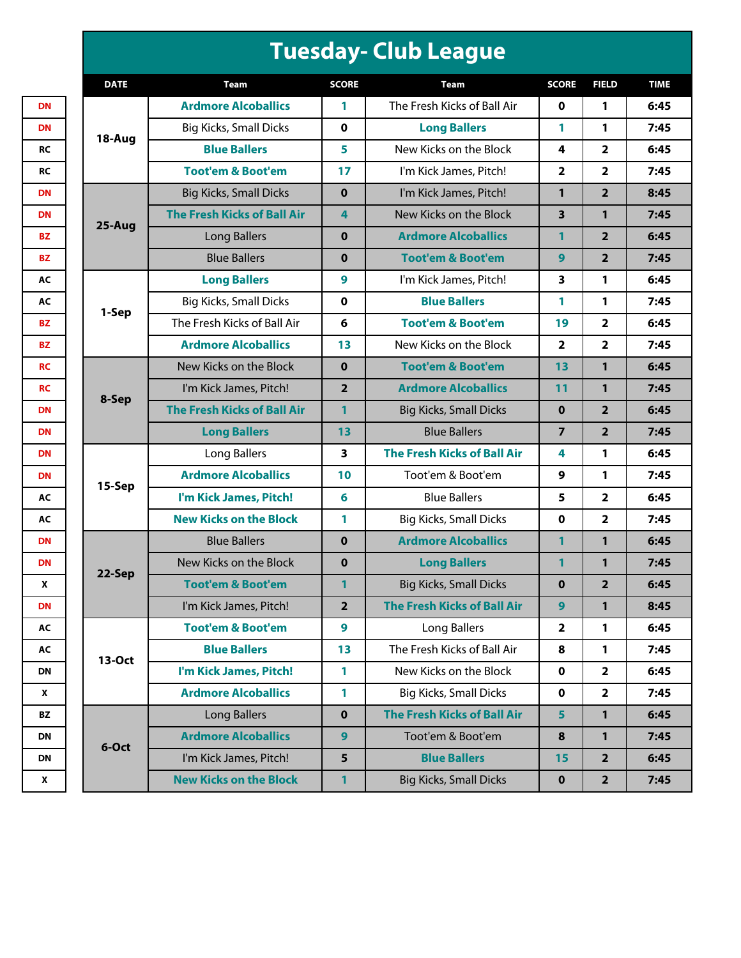## **Tuesday- Club League**

| <b>DATE</b> | <b>Team</b>                        | <b>SCORE</b>   | Team                               | <b>SCORE</b>   | <b>FIELD</b>            | <b>TIME</b> |
|-------------|------------------------------------|----------------|------------------------------------|----------------|-------------------------|-------------|
|             | <b>Ardmore Alcoballics</b>         | 1              | The Fresh Kicks of Ball Air        | $\mathbf 0$    | 1                       | 6:45        |
| 18-Aug      | <b>Big Kicks, Small Dicks</b>      | 0              | <b>Long Ballers</b>                | 1              | 1                       | 7:45        |
|             | <b>Blue Ballers</b>                | 5              | New Kicks on the Block             | 4              | $\overline{\mathbf{2}}$ | 6:45        |
|             | <b>Toot'em &amp; Boot'em</b>       | 17             | I'm Kick James, Pitch!             | 2              | $\overline{\mathbf{2}}$ | 7:45        |
|             | <b>Big Kicks, Small Dicks</b>      | $\mathbf{0}$   | I'm Kick James, Pitch!             | 1              | $\overline{2}$          | 8:45        |
| 25-Aug      | <b>The Fresh Kicks of Ball Air</b> | 4              | New Kicks on the Block             | 3              | 1                       | 7:45        |
|             | <b>Long Ballers</b>                | $\mathbf 0$    | <b>Ardmore Alcoballics</b>         | 1              | $\overline{2}$          | 6:45        |
|             | <b>Blue Ballers</b>                | $\bf{0}$       | <b>Toot'em &amp; Boot'em</b>       | 9              | $\overline{2}$          | 7:45        |
|             | <b>Long Ballers</b>                | 9              | I'm Kick James, Pitch!             | 3              | 1                       | 6:45        |
| 1-Sep       | <b>Big Kicks, Small Dicks</b>      | $\mathbf 0$    | <b>Blue Ballers</b>                | 1              | 1                       | 7:45        |
|             | The Fresh Kicks of Ball Air        | 6              | <b>Toot'em &amp; Boot'em</b>       | 19             | $\overline{\mathbf{2}}$ | 6:45        |
|             | <b>Ardmore Alcoballics</b>         | 13             | New Kicks on the Block             | $\overline{2}$ | $\overline{\mathbf{2}}$ | 7:45        |
|             | New Kicks on the Block             | $\mathbf{0}$   | <b>Toot'em &amp; Boot'em</b>       | 13             | $\mathbf{1}$            | 6:45        |
|             | I'm Kick James, Pitch!             | $\overline{2}$ | <b>Ardmore Alcoballics</b>         | 11             | $\mathbf{1}$            | 7:45        |
| 8-Sep       | <b>The Fresh Kicks of Ball Air</b> | 1              | <b>Big Kicks, Small Dicks</b>      | $\mathbf 0$    | $\overline{\mathbf{2}}$ | 6:45        |
|             | <b>Long Ballers</b>                | 13             | <b>Blue Ballers</b>                | 7              | $\overline{\mathbf{2}}$ | 7:45        |
|             | Long Ballers                       | 3              | <b>The Fresh Kicks of Ball Air</b> | 4              | 1                       | 6:45        |
| 15-Sep      | <b>Ardmore Alcoballics</b>         | 10             | Toot'em & Boot'em                  | 9              | 1                       | 7:45        |
|             | I'm Kick James, Pitch!             | 6              | <b>Blue Ballers</b>                | 5              | $\overline{\mathbf{2}}$ | 6:45        |
|             | <b>New Kicks on the Block</b>      | 1              | <b>Big Kicks, Small Dicks</b>      | $\mathbf 0$    | $\overline{\mathbf{2}}$ | 7:45        |
|             | <b>Blue Ballers</b>                | $\mathbf 0$    | <b>Ardmore Alcoballics</b>         | 1              | $\mathbf{1}$            | 6:45        |
| 22-Sep      | New Kicks on the Block             | $\bf{0}$       | <b>Long Ballers</b>                | 1              | 1                       | 7:45        |
|             | <b>Toot'em &amp; Boot'em</b>       | 1              | <b>Big Kicks, Small Dicks</b>      | $\mathbf 0$    | $\overline{2}$          | 6:45        |
|             | I'm Kick James, Pitch!             | $\overline{2}$ | <b>The Fresh Kicks of Ball Air</b> | 9              | 1                       | 8:45        |
|             | <b>Toot'em &amp; Boot'em</b>       | 9              | <b>Long Ballers</b>                | 2              | 1                       | 6:45        |
|             | <b>Blue Ballers</b>                | 13             | The Fresh Kicks of Ball Air        | 8              | 1                       | 7:45        |
|             | I'm Kick James, Pitch!             | 1              | New Kicks on the Block             | $\mathbf 0$    | $\overline{\mathbf{2}}$ | 6:45        |
| 13-Oct      |                                    |                |                                    |                |                         |             |
|             | <b>Ardmore Alcoballics</b>         | 1              | <b>Big Kicks, Small Dicks</b>      | $\mathbf 0$    | $\overline{\mathbf{2}}$ | 7:45        |
| 6-Oct       | <b>Long Ballers</b>                | $\mathbf 0$    | <b>The Fresh Kicks of Ball Air</b> | 5              | $\mathbf{1}$            | 6:45        |
|             | <b>Ardmore Alcoballics</b>         | 9              | Toot'em & Boot'em                  | 8              | 1                       | 7:45        |
|             | I'm Kick James, Pitch!             | 5              | <b>Blue Ballers</b>                | 15             | $\overline{2}$          | 6:45        |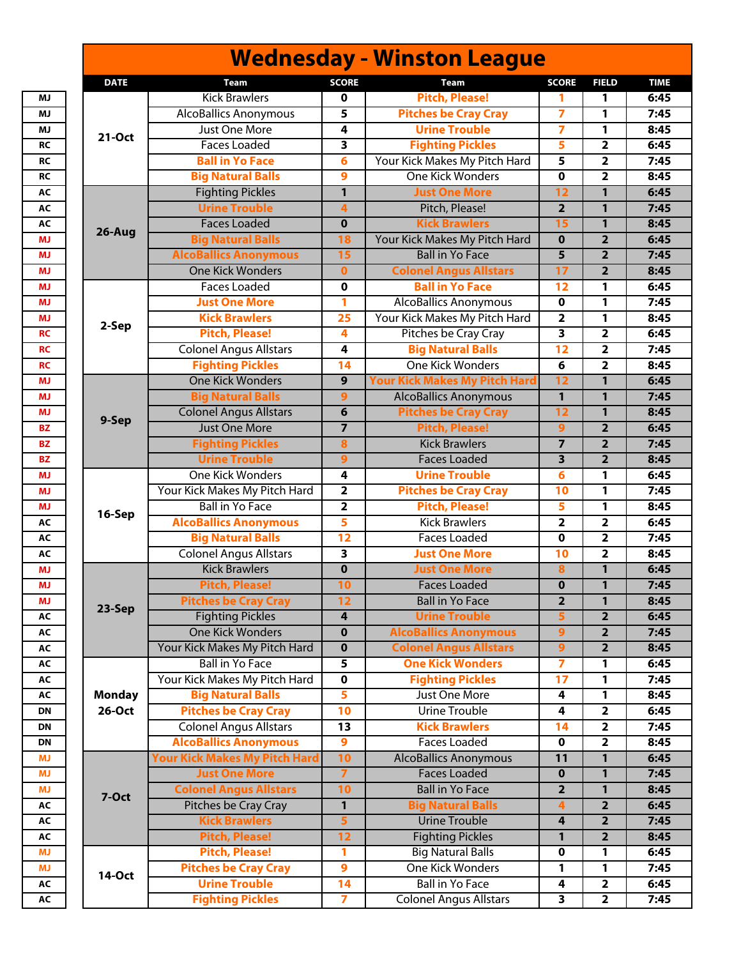|               |                                      |                         | <b>Wednesday - Winston League</b>    |                         |                         |             |
|---------------|--------------------------------------|-------------------------|--------------------------------------|-------------------------|-------------------------|-------------|
| <b>DATE</b>   | <b>Team</b>                          | <b>SCORE</b>            | Team                                 | <b>SCORE</b>            | <b>FIELD</b>            | <b>TIME</b> |
|               | <b>Kick Brawlers</b>                 | 0                       | <b>Pitch, Please!</b>                | 1                       | 1                       | 6:45        |
|               | <b>AlcoBallics Anonymous</b>         | 5                       | <b>Pitches be Cray Cray</b>          | $\overline{\mathbf{z}}$ | 1                       | 7:45        |
|               | Just One More                        | 4                       | <b>Urine Trouble</b>                 | $\overline{7}$          | 1                       | 8:45        |
| 21-Oct        | <b>Faces Loaded</b>                  | 3                       | <b>Fighting Pickles</b>              | 5                       | 2                       | 6:45        |
|               | <b>Ball in Yo Face</b>               | 6                       | Your Kick Makes My Pitch Hard        | 5                       | 2                       | 7:45        |
|               | <b>Big Natural Balls</b>             | 9                       | <b>One Kick Wonders</b>              | $\overline{\mathbf{0}}$ | $\overline{\mathbf{2}}$ | 8:45        |
|               | <b>Fighting Pickles</b>              | $\overline{1}$          | <b>Just One More</b>                 | $\overline{12}$         | 1                       | 6:45        |
|               | <b>Urine Trouble</b>                 | 4                       | Pitch, Please!                       | $\overline{2}$          | 1                       | 7:45        |
|               | <b>Faces Loaded</b>                  | $\mathbf 0$             | <b>Kick Brawlers</b>                 | 15                      | $\overline{1}$          | 8:45        |
| 26-Aug        | <b>Big Natural Balls</b>             | 18                      | Your Kick Makes My Pitch Hard        | $\mathbf 0$             | $\overline{\mathbf{2}}$ | 6:45        |
|               | <b>AlcoBallics Anonymous</b>         | 15                      | <b>Ball in Yo Face</b>               | 5                       | $\overline{2}$          | 7:45        |
|               | <b>One Kick Wonders</b>              | $\mathbf{0}$            | <b>Colonel Angus Allstars</b>        | 17                      | $\overline{2}$          | 8:45        |
|               | <b>Faces Loaded</b>                  | 0                       | <b>Ball in Yo Face</b>               | 12                      | 1                       | 6:45        |
|               | <b>Just One More</b>                 | 1                       | <b>AlcoBallics Anonymous</b>         | 0                       | 1                       | 7:45        |
|               | <b>Kick Brawlers</b>                 | $\overline{25}$         | Your Kick Makes My Pitch Hard        | $\overline{2}$          | 1                       | 8:45        |
| 2-Sep         | <b>Pitch, Please!</b>                | 4                       | Pitches be Cray Cray                 | $\overline{\mathbf{3}}$ | 2                       | 6:45        |
|               | <b>Colonel Angus Allstars</b>        | 4                       | <b>Big Natural Balls</b>             | 12                      | 2                       | 7:45        |
|               | <b>Fighting Pickles</b>              | $\overline{14}$         | <b>One Kick Wonders</b>              | 6                       | 2                       | 8:45        |
|               | <b>One Kick Wonders</b>              | 9                       | <b>Your Kick Makes My Pitch Hard</b> | 12                      | 1                       | 6:45        |
|               | <b>Big Natural Balls</b>             | 9                       | <b>AlcoBallics Anonymous</b>         | $\mathbf{1}$            | 1                       | 7:45        |
|               | <b>Colonel Angus Allstars</b>        | 6                       | <b>Pitches be Cray Cray</b>          | $\overline{12}$         | 1                       | 8:45        |
| 9-Sep         | <b>Just One More</b>                 |                         | <b>Pitch, Please!</b>                |                         |                         | 6:45        |
|               |                                      | $\overline{7}$          | <b>Kick Brawlers</b>                 | 9<br>$\overline{7}$     | $\mathbf{2}$            |             |
|               | <b>Fighting Pickles</b>              | 8                       |                                      |                         | $\overline{2}$          | 7:45        |
|               | <b>Urine Trouble</b>                 | $\overline{9}$          | <b>Faces Loaded</b>                  | $\overline{\mathbf{3}}$ | $\overline{2}$          | 8:45        |
|               | <b>One Kick Wonders</b>              | 4                       | <b>Urine Trouble</b>                 | 6                       | 1                       | 6:45        |
|               | Your Kick Makes My Pitch Hard        | 2                       | <b>Pitches be Cray Cray</b>          | 10                      | 1                       | 7:45        |
| 16-Sep        | <b>Ball in Yo Face</b>               | $\overline{\mathbf{2}}$ | <b>Pitch, Please!</b>                | 5                       | 1                       | 8:45        |
|               | <b>AlcoBallics Anonymous</b>         | 5                       | <b>Kick Brawlers</b>                 | $\overline{2}$          | 2                       | 6:45        |
|               | <b>Big Natural Balls</b>             | $\overline{12}$         | <b>Faces Loaded</b>                  | $\mathbf 0$             | $\overline{\mathbf{2}}$ | 7:45        |
|               | <b>Colonel Angus Allstars</b>        | 3                       | <b>Just One More</b>                 | 10                      | $\overline{\mathbf{2}}$ | 8:45        |
|               | <b>Kick Brawlers</b>                 | $\mathbf 0$             | <b>Just One More</b>                 | $\overline{\mathbf{8}}$ | $\mathbf{1}$            | 6:45        |
|               | <b>Pitch, Please!</b>                | 10                      | <b>Faces Loaded</b>                  | $\overline{\mathbf{0}}$ | $\overline{1}$          | 7:45        |
| 23-Sep        | <b>Pitches be Cray Cray</b>          | 12                      | <b>Ball in Yo Face</b>               | $\overline{2}$          | 1                       | 8:45        |
|               | <b>Fighting Pickles</b>              | 4                       | <b>Urine Trouble</b>                 | 5                       | $\mathbf{2}$            | 6:45        |
|               | <b>One Kick Wonders</b>              | $\mathbf 0$             | <b>AlcoBallics Anonymous</b>         | 9                       | $\overline{\mathbf{2}}$ | 7:45        |
|               | Your Kick Makes My Pitch Hard        | 0                       | <b>Colonel Angus Allstars</b>        | $\overline{9}$          | $\mathbf{2}$            | 8:45        |
|               | <b>Ball in Yo Face</b>               | 5                       | <b>One Kick Wonders</b>              | $\overline{\mathbf{z}}$ | 1                       | 6:45        |
|               | Your Kick Makes My Pitch Hard        | 0                       | <b>Fighting Pickles</b>              | 17                      | 1                       | 7:45        |
| <b>Monday</b> | <b>Big Natural Balls</b>             | 5                       | Just One More                        | 4                       | 1                       | 8:45        |
| 26-Oct        | <b>Pitches be Cray Cray</b>          | 10                      | <b>Urine Trouble</b>                 | 4                       | $\overline{\mathbf{2}}$ | 6:45        |
|               | <b>Colonel Angus Allstars</b>        | 13                      | <b>Kick Brawlers</b>                 | 14                      | 2                       | 7:45        |
|               | <b>AlcoBallics Anonymous</b>         | 9                       | <b>Faces Loaded</b>                  | $\mathbf 0$             | 2                       | 8:45        |
|               | <b>Your Kick Makes My Pitch Hard</b> | 10                      | <b>AlcoBallics Anonymous</b>         | 11                      | $\mathbf{1}$            | 6:45        |
|               | <b>Just One More</b>                 | $\overline{7}$          | <b>Faces Loaded</b>                  | $\bf{0}$                | $\mathbf{1}$            | 7:45        |
| 7-Oct         | <b>Colonel Angus Allstars</b>        | 10                      | <b>Ball in Yo Face</b>               | $\overline{2}$          | $\mathbf{1}$            | 8:45        |
|               | Pitches be Cray Cray                 | $\mathbf{1}$            | <b>Big Natural Balls</b>             | 4                       | $\mathbf{2}$            | 6:45        |
|               | <b>Kick Brawlers</b>                 | 5                       | <b>Urine Trouble</b>                 | 4                       | $\overline{\mathbf{2}}$ | 7:45        |
|               | <b>Pitch, Please!</b>                | 12                      | <b>Fighting Pickles</b>              | 1                       | $\overline{\mathbf{2}}$ | 8:45        |
|               | <b>Pitch, Please!</b>                | 1                       | <b>Big Natural Balls</b>             | $\mathbf 0$             | 1                       | 6:45        |
| <b>14-Oct</b> | <b>Pitches be Cray Cray</b>          | 9                       | One Kick Wonders                     | 1                       | 1                       | 7:45        |
|               | <b>Urine Trouble</b>                 | 14                      | <b>Ball in Yo Face</b>               | 4                       | 2                       | 6:45        |
|               | <b>Fighting Pickles</b>              | 7                       | <b>Colonel Angus Allstars</b>        | 3                       | $\mathbf{2}$            | 7:45        |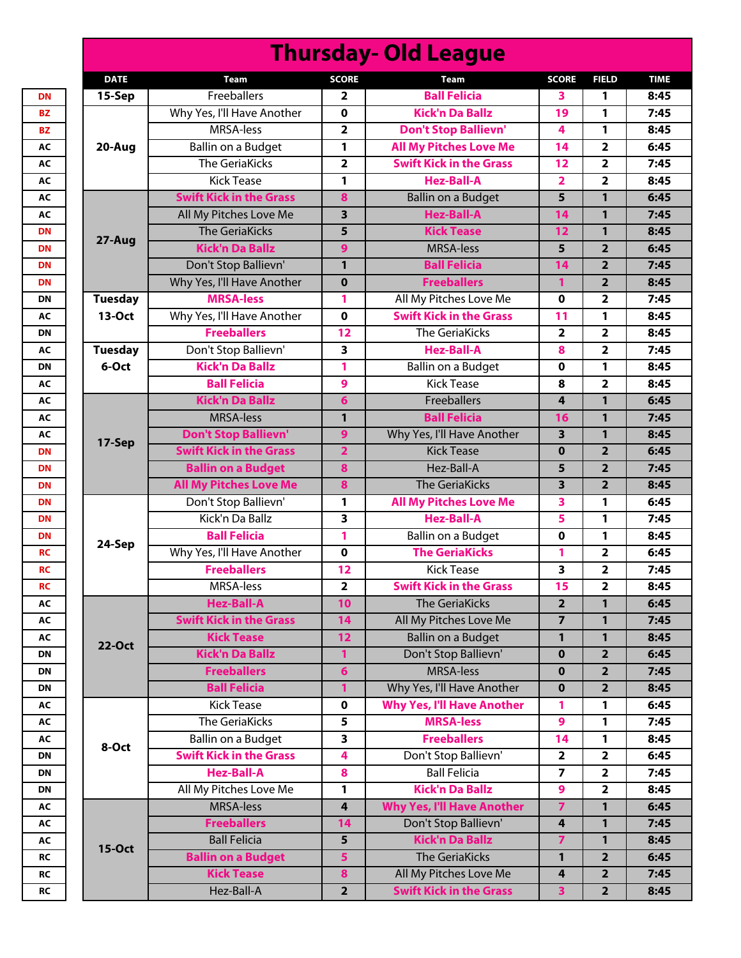| <b>Thursday- Old League</b> |                                |                         |                                   |                         |                         |             |  |  |
|-----------------------------|--------------------------------|-------------------------|-----------------------------------|-------------------------|-------------------------|-------------|--|--|
| <b>DATE</b>                 | <b>Team</b>                    | <b>SCORE</b>            | <b>Team</b>                       | <b>SCORE</b>            | <b>FIELD</b>            | <b>TIME</b> |  |  |
| 15-Sep                      | Freeballers                    | 2                       | <b>Ball Felicia</b>               | 3                       | 1                       | 8:45        |  |  |
| 20-Aug                      | Why Yes, I'll Have Another     | 0                       | <b>Kick'n Da Ballz</b>            | 19                      | $\mathbf{1}$            | 7:45        |  |  |
|                             | MRSA-less                      | $\overline{\mathbf{2}}$ | <b>Don't Stop Ballievn'</b>       | 4                       | $\mathbf{1}$            | 8:45        |  |  |
|                             | Ballin on a Budget             | 1                       | <b>All My Pitches Love Me</b>     | 14                      | 2                       | 6:45        |  |  |
|                             | <b>The GeriaKicks</b>          | 2                       | <b>Swift Kick in the Grass</b>    | 12                      | $\overline{\mathbf{2}}$ | 7:45        |  |  |
|                             | <b>Kick Tease</b>              | 1                       | <b>Hez-Ball-A</b>                 | $\overline{2}$          | $\overline{\mathbf{2}}$ | 8:45        |  |  |
|                             | <b>Swift Kick in the Grass</b> | 8                       | <b>Ballin on a Budget</b>         | 5                       | 1                       | 6:45        |  |  |
|                             | All My Pitches Love Me         | 3                       | <b>Hez-Ball-A</b>                 | 14                      | 1                       | 7:45        |  |  |
|                             | <b>The GeriaKicks</b>          | 5                       | <b>Kick Tease</b>                 | 12                      | $\mathbf{1}$            | 8:45        |  |  |
| 27-Aug                      | <b>Kick'n Da Ballz</b>         | 9                       | <b>MRSA-less</b>                  | 5                       | $\overline{2}$          | 6:45        |  |  |
|                             | Don't Stop Ballievn'           | 1                       | <b>Ball Felicia</b>               | 14                      | $\overline{2}$          | 7:45        |  |  |
|                             | Why Yes, I'll Have Another     | $\mathbf 0$             | <b>Freeballers</b>                | 1                       | $\overline{2}$          | 8:45        |  |  |
| <b>Tuesday</b>              | <b>MRSA-less</b>               | 1                       | All My Pitches Love Me            | $\mathbf 0$             | 2                       | 7:45        |  |  |
| 13-Oct                      | Why Yes, I'll Have Another     | $\mathbf 0$             | <b>Swift Kick in the Grass</b>    | 11                      | $\mathbf{1}$            | 8:45        |  |  |
|                             | <b>Freeballers</b>             | 12                      | <b>The GeriaKicks</b>             | $\overline{\mathbf{2}}$ | $\overline{\mathbf{2}}$ | 8:45        |  |  |
| <b>Tuesday</b>              | Don't Stop Ballievn'           | 3                       | <b>Hez-Ball-A</b>                 | 8                       | $\overline{2}$          | 7:45        |  |  |
| 6-Oct                       | <b>Kick'n Da Ballz</b>         | 1                       | <b>Ballin on a Budget</b>         | $\mathbf 0$             | 1                       | 8:45        |  |  |
|                             | <b>Ball Felicia</b>            | 9                       | <b>Kick Tease</b>                 | 8                       | $\overline{\mathbf{2}}$ | 8:45        |  |  |
|                             | <b>Kick'n Da Ballz</b>         | 6                       | Freeballers                       | $\overline{4}$          | $\mathbf{1}$            | 6:45        |  |  |
|                             | <b>MRSA-less</b>               | 1                       | <b>Ball Felicia</b>               | 16                      | $\mathbf{1}$            | 7:45        |  |  |
| 17-Sep                      | <b>Don't Stop Ballievn'</b>    | 9                       | Why Yes, I'll Have Another        | 3                       | $\mathbf{1}$            | 8:45        |  |  |
|                             | <b>Swift Kick in the Grass</b> | $\overline{\mathbf{2}}$ | <b>Kick Tease</b>                 | $\mathbf 0$             | $\overline{2}$          | 6:45        |  |  |
|                             | <b>Ballin on a Budget</b>      | 8                       | Hez-Ball-A                        | 5                       | $\overline{2}$          | 7:45        |  |  |
|                             | <b>All My Pitches Love Me</b>  | 8                       | <b>The GeriaKicks</b>             | 3                       | $\overline{2}$          | 8:45        |  |  |
|                             | Don't Stop Ballievn'           | 1                       | <b>All My Pitches Love Me</b>     | 3                       | 1                       | 6:45        |  |  |
|                             | Kick'n Da Ballz                | 3                       | <b>Hez-Ball-A</b>                 | 5                       | $\mathbf{1}$            | 7:45        |  |  |
| 24-Sep                      | <b>Ball Felicia</b>            | 1                       | Ballin on a Budget                | $\mathbf 0$             | 1                       | 8:45        |  |  |
|                             | Why Yes, I'll Have Another     | $\mathbf 0$             | <b>The GeriaKicks</b>             | 1                       | $\mathbf{2}$            | 6:45        |  |  |
|                             | <b>Freeballers</b>             | 12                      | <b>Kick Tease</b>                 | 3                       | $\overline{\mathbf{2}}$ | 7:45        |  |  |
|                             | MRSA-less                      | 2                       | <b>Swift Kick in the Grass</b>    | 15                      | $\overline{\mathbf{2}}$ | 8:45        |  |  |
|                             | <b>Hez-Ball-A</b>              | 10                      | <b>The GeriaKicks</b>             | $\overline{2}$          | $\mathbf{1}$            | 6:45        |  |  |
|                             | <b>Swift Kick in the Grass</b> | 14                      | All My Pitches Love Me            | $\overline{7}$          | $\mathbf{1}$            | 7:45        |  |  |
| 22-Oct                      | <b>Kick Tease</b>              | 12                      | <b>Ballin on a Budget</b>         | 1                       | $\mathbf{1}$            | 8:45        |  |  |
|                             | <b>Kick'n Da Ballz</b>         | 1                       | Don't Stop Ballievn'              | $\mathbf 0$             | $\overline{2}$          | 6:45        |  |  |
|                             | <b>Freeballers</b>             | 6                       | <b>MRSA-less</b>                  | $\mathbf 0$             | $\overline{2}$          | 7:45        |  |  |
|                             | <b>Ball Felicia</b>            | $\mathbf{1}$            | Why Yes, I'll Have Another        | $\bf{0}$                | $\overline{2}$          | 8:45        |  |  |
|                             | <b>Kick Tease</b>              | 0                       | <b>Why Yes, I'll Have Another</b> | 1                       | 1                       | 6:45        |  |  |
|                             | The GeriaKicks                 | 5                       | <b>MRSA-less</b>                  | 9                       | 1                       | 7:45        |  |  |
| 8-Oct                       | Ballin on a Budget             | 3                       | <b>Freeballers</b>                | 14                      | $\mathbf{1}$            | 8:45        |  |  |
|                             | <b>Swift Kick in the Grass</b> | 4                       | Don't Stop Ballievn'              | $\overline{\mathbf{2}}$ | $\overline{\mathbf{2}}$ | 6:45        |  |  |
|                             | <b>Hez-Ball-A</b>              | 8                       | <b>Ball Felicia</b>               | $\overline{7}$          | $\overline{\mathbf{2}}$ | 7:45        |  |  |
|                             | All My Pitches Love Me         | 1                       | <b>Kick'n Da Ballz</b>            | 9                       | $\overline{2}$          | 8:45        |  |  |
|                             | <b>MRSA-less</b>               | 4                       | <b>Why Yes, I'll Have Another</b> | $\overline{7}$          | 1                       | 6:45        |  |  |
|                             | <b>Freeballers</b>             | 14                      | Don't Stop Ballievn'              | 4                       | $\mathbf{1}$            | 7:45        |  |  |
| <b>15-Oct</b>               | <b>Ball Felicia</b>            | 5                       | <b>Kick'n Da Ballz</b>            | $\overline{7}$          | $\mathbf{1}$            | 8:45        |  |  |
|                             | <b>Ballin on a Budget</b>      | 5                       | <b>The GeriaKicks</b>             | 1                       | $\overline{2}$          | 6:45        |  |  |
|                             | <b>Kick Tease</b>              | 8                       | All My Pitches Love Me            | $\overline{4}$          | $\overline{2}$          | 7:45        |  |  |
|                             | Hez-Ball-A                     | $\overline{2}$          | <b>Swift Kick in the Grass</b>    | 3 <sup>1</sup>          | $\overline{2}$          | 8:45        |  |  |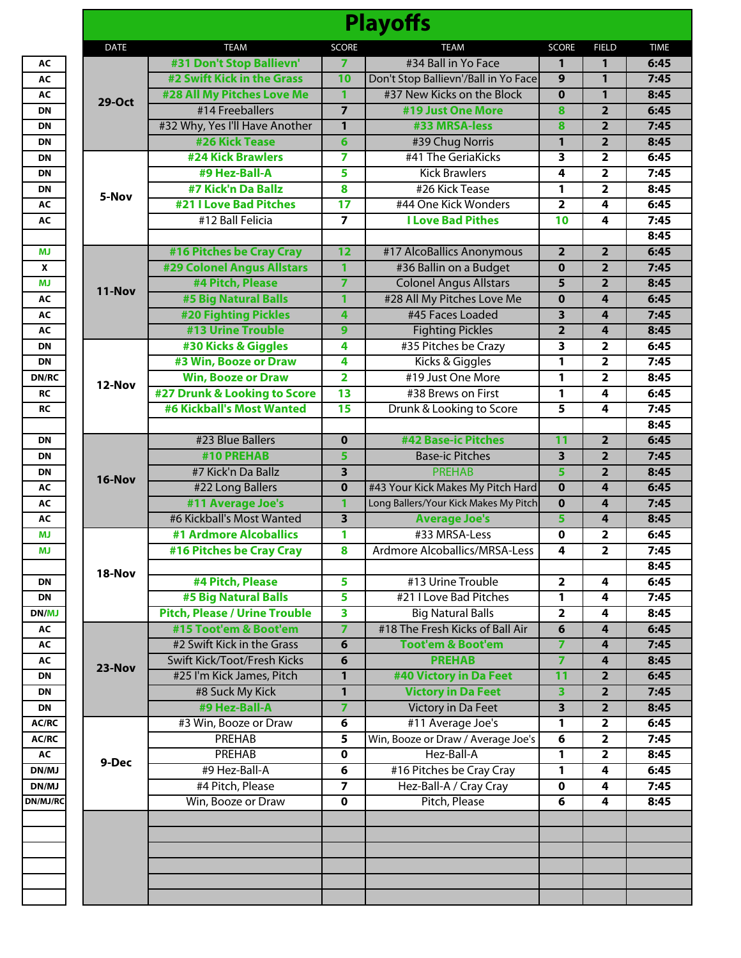|               |                                      |                         | <b>Playoffs</b>                       |                                   |                         |  |
|---------------|--------------------------------------|-------------------------|---------------------------------------|-----------------------------------|-------------------------|--|
| <b>DATE</b>   | <b>TEAM</b>                          | <b>SCORE</b>            | <b>TEAM</b>                           | <b>SCORE</b>                      | <b>FIELD</b>            |  |
|               | #31 Don't Stop Ballievn'             | 7                       | #34 Ball in Yo Face                   | 1                                 | 1                       |  |
|               | #2 Swift Kick in the Grass           | 10                      | Don't Stop Ballievn'/Ball in Yo Face  | 9                                 | 1                       |  |
| <b>29-Oct</b> | #28 All My Pitches Love Me           | 1                       | #37 New Kicks on the Block            | $\mathbf 0$                       | 1                       |  |
|               | #14 Freeballers                      | $\overline{7}$          | #19 Just One More                     | $\overline{\mathbf{8}}$           | $\overline{2}$          |  |
|               | #32 Why, Yes I'll Have Another       | $\overline{1}$          | #33 MRSA-less                         | 8                                 | $\overline{2}$          |  |
|               | #26 Kick Tease                       | 6                       | #39 Chug Norris                       | 1                                 | $\overline{2}$          |  |
|               | <b>#24 Kick Brawlers</b>             | 7                       | #41 The GeriaKicks                    | 3                                 | $\overline{\mathbf{2}}$ |  |
|               | #9 Hez-Ball-A                        | 5                       | <b>Kick Brawlers</b>                  | 4                                 | 2                       |  |
|               | #7 Kick'n Da Ballz                   | 8                       | #26 Kick Tease                        | $\mathbf{1}$                      | $\mathbf{2}$            |  |
| 5-Nov         | <b>#21 I Love Bad Pitches</b>        | $\overline{17}$         | #44 One Kick Wonders                  | $\overline{2}$                    | $\overline{4}$          |  |
|               | #12 Ball Felicia                     | $\overline{7}$          | <b>I Love Bad Pithes</b>              | 10                                | 4                       |  |
|               |                                      |                         |                                       |                                   |                         |  |
|               | #16 Pitches be Cray Cray             | 12                      | #17 AlcoBallics Anonymous             | $\overline{2}$                    | $\overline{2}$          |  |
|               | <b>#29 Colonel Angus Allstars</b>    | 1                       | #36 Ballin on a Budget                | $\bf{0}$                          | $\overline{2}$          |  |
|               | #4 Pitch, Please                     | $\overline{7}$          | <b>Colonel Angus Allstars</b>         | 5                                 | $\overline{2}$          |  |
| <b>11-Nov</b> | #5 Big Natural Balls                 | $\mathbf{1}$            | #28 All My Pitches Love Me            | $\overline{\mathbf{0}}$           | $\overline{4}$          |  |
|               |                                      |                         |                                       |                                   |                         |  |
|               | <b>#20 Fighting Pickles</b>          | 4                       | #45 Faces Loaded                      | 3                                 | 4                       |  |
|               | #13 Urine Trouble                    | 9                       | <b>Fighting Pickles</b>               | $\overline{2}$                    | 4                       |  |
|               | #30 Kicks & Giggles                  | 4                       | #35 Pitches be Crazy                  | 3                                 | 2                       |  |
|               | #3 Win, Booze or Draw                | 4                       | Kicks & Giggles                       | 1                                 | 2                       |  |
| 12-Nov        | <b>Win, Booze or Draw</b>            | $\overline{2}$          | #19 Just One More                     | $\mathbf{1}$                      | 2                       |  |
|               | #27 Drunk & Looking to Score         | $\overline{13}$         | #38 Brews on First                    | $\mathbf{1}$                      | 4                       |  |
|               | #6 Kickball's Most Wanted            | 15                      | Drunk & Looking to Score              | 5                                 | 4                       |  |
|               |                                      |                         |                                       |                                   |                         |  |
|               | #23 Blue Ballers                     | $\mathbf 0$             | #42 Base-ic Pitches                   | $\overline{11}$                   | $\overline{2}$          |  |
|               | #10 PREHAB                           | 5                       | <b>Base-ic Pitches</b>                | 3                                 | $\overline{2}$          |  |
|               | #7 Kick'n Da Ballz                   | $\overline{\mathbf{3}}$ | <b>PREHAB</b>                         | 5                                 | $\overline{2}$          |  |
| 16-Nov        | #22 Long Ballers                     | $\mathbf 0$             | #43 Your Kick Makes My Pitch Hard     | $\mathbf 0$                       | 4                       |  |
|               | #11 Average Joe's                    | $\mathbf{1}$            | Long Ballers/Your Kick Makes My Pitch | $\overline{\mathbf{0}}$           | 4                       |  |
|               | #6 Kickball's Most Wanted            | $\overline{\mathbf{3}}$ | <b>Average Joe's</b>                  | 5                                 | 4                       |  |
|               | #1 Ardmore Alcoballics               | 1                       | #33 MRSA-Less                         | $\mathbf 0$                       | 2                       |  |
|               | #16 Pitches be Cray Cray             | 8                       | Ardmore Alcoballics/MRSA-Less         | 4                                 | 2                       |  |
|               |                                      |                         |                                       |                                   |                         |  |
| 18-Nov        | #4 Pitch, Please                     | 5                       | #13 Urine Trouble                     | $\overline{2}$                    | 4                       |  |
|               | #5 Big Natural Balls                 | 5                       | #21 I Love Bad Pitches                | $\mathbf{1}$                      | $\overline{4}$          |  |
|               | <b>Pitch, Please / Urine Trouble</b> | 3                       | <b>Big Natural Balls</b>              | $\overline{2}$                    | 4                       |  |
|               | #15 Toot'em & Boot'em                | 7                       | #18 The Fresh Kicks of Ball Air       | 6                                 | 4                       |  |
|               | #2 Swift Kick in the Grass           | 6                       | <b>Toot'em &amp; Boot'em</b>          | $\overline{7}$                    | 4                       |  |
|               | Swift Kick/Toot/Fresh Kicks          |                         | <b>PREHAB</b>                         |                                   |                         |  |
| 23-Nov        | #25 I'm Kick James, Pitch            | 6                       | #40 Victory in Da Feet                | $\overline{ }$<br>$\overline{11}$ | 4<br>$\overline{2}$     |  |
|               |                                      | 1                       |                                       |                                   |                         |  |
|               | #8 Suck My Kick                      | $\overline{1}$          | <b>Victory in Da Feet</b>             | $\overline{\mathbf{3}}$           | $\overline{2}$          |  |
|               | #9 Hez-Ball-A                        | $\overline{7}$          | <b>Victory in Da Feet</b>             | 3                                 | $\overline{2}$          |  |
|               | #3 Win, Booze or Draw                | 6                       | #11 Average Joe's                     | $\mathbf{1}$                      | 2                       |  |
|               | PREHAB                               | 5                       | Win, Booze or Draw / Average Joe's    | $6\overline{}$                    | $\mathbf 2$             |  |
| 9-Dec         | PREHAB                               | 0                       | Hez-Ball-A                            | $\mathbf{1}$                      | $\overline{2}$          |  |
|               | #9 Hez-Ball-A                        | 6                       | #16 Pitches be Cray Cray              | 1                                 | 4                       |  |
|               | #4 Pitch, Please                     | $\overline{\mathbf{z}}$ | Hez-Ball-A / Cray Cray                | $\mathbf 0$                       | 4                       |  |
|               | Win, Booze or Draw                   | 0                       | Pitch, Please                         | 6                                 | 4                       |  |
|               |                                      |                         |                                       |                                   |                         |  |
|               |                                      |                         |                                       |                                   |                         |  |
|               |                                      |                         |                                       |                                   |                         |  |
|               |                                      |                         |                                       |                                   |                         |  |
|               |                                      |                         |                                       |                                   |                         |  |
|               |                                      |                         |                                       |                                   |                         |  |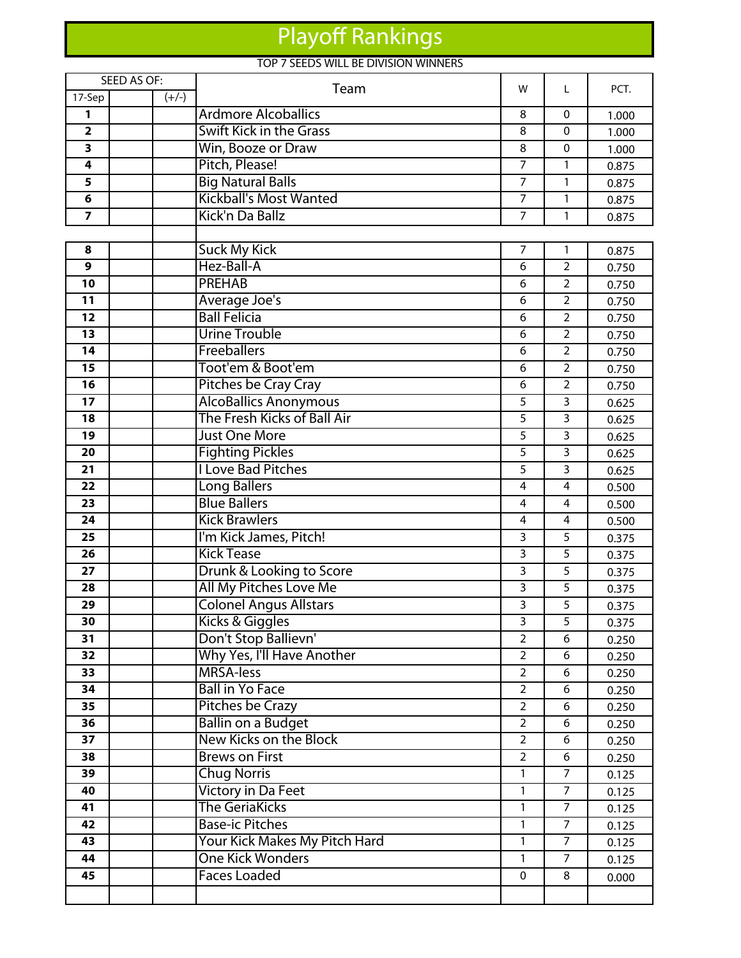# Playoff Rankings

## TOP 7 SEEDS WILL BE DIVISION WINNERS

|                         | SEED AS OF: | Team                          | W              | L              | PCT.  |
|-------------------------|-------------|-------------------------------|----------------|----------------|-------|
| 17-Sep                  | $(+/-)$     |                               |                |                |       |
| 1                       |             | <b>Ardmore Alcoballics</b>    | 8              | $\mathbf{0}$   | 1.000 |
| $\overline{\mathbf{2}}$ |             | Swift Kick in the Grass       | 8              | 0              | 1.000 |
| 3                       |             | Win, Booze or Draw            | 8              | 0              | 1.000 |
| 4                       |             | Pitch, Please!                | $\overline{7}$ | $\mathbf{1}$   | 0.875 |
| 5                       |             | <b>Big Natural Balls</b>      | 7              | 1              | 0.875 |
| 6                       |             | <b>Kickball's Most Wanted</b> | $\overline{7}$ | $\mathbf{1}$   | 0.875 |
| $\overline{\mathbf{z}}$ |             | Kick'n Da Ballz               | $\overline{7}$ | $\mathbf{1}$   | 0.875 |
|                         |             |                               |                |                |       |
| 8                       |             | <b>Suck My Kick</b>           | $\overline{7}$ | $\mathbf{1}$   | 0.875 |
| 9                       |             | Hez-Ball-A                    | 6              | $\overline{2}$ | 0.750 |
| 10                      |             | <b>PREHAB</b>                 | 6              | $\overline{2}$ | 0.750 |
| 11                      |             | Average Joe's                 | 6              | $\overline{2}$ | 0.750 |
| $\overline{12}$         |             | <b>Ball Felicia</b>           | 6              | $\overline{2}$ | 0.750 |
| 13                      |             | <b>Urine Trouble</b>          | 6              | $\overline{2}$ | 0.750 |
| 14                      |             | Freeballers                   | 6              | $\overline{2}$ | 0.750 |
| 15                      |             | Toot'em & Boot'em             | 6              | $\overline{2}$ | 0.750 |
| 16                      |             | Pitches be Cray Cray          | 6              | $\overline{2}$ | 0.750 |
| 17                      |             | <b>AlcoBallics Anonymous</b>  | 5              | 3              | 0.625 |
| 18                      |             | The Fresh Kicks of Ball Air   | 5              | $\overline{3}$ | 0.625 |
| 19                      |             | <b>Just One More</b>          | 5              | 3              | 0.625 |
| 20                      |             | <b>Fighting Pickles</b>       | 5              | 3              | 0.625 |
| 21                      |             | <b>I Love Bad Pitches</b>     | 5              | $\overline{3}$ | 0.625 |
| 22                      |             | Long Ballers                  | 4              | $\overline{4}$ | 0.500 |
| 23                      |             | <b>Blue Ballers</b>           | 4              | 4              | 0.500 |
| 24                      |             | <b>Kick Brawlers</b>          | 4              | 4              | 0.500 |
| 25                      |             | I'm Kick James, Pitch!        | 3              | 5              | 0.375 |
| 26                      |             | <b>Kick Tease</b>             | 3              | 5              | 0.375 |
| $\overline{27}$         |             | Drunk & Looking to Score      | $\overline{3}$ | $\overline{5}$ | 0.375 |
| 28                      |             | All My Pitches Love Me        | 3              | 5              | 0.375 |
| 29                      |             | <b>Colonel Angus Allstars</b> | 3              | 5              | 0.375 |
| 30                      |             | Kicks & Giggles               | 3              | 5              | 0.375 |
| 31                      |             | Don't Stop Ballievn'          | $\overline{2}$ | 6              | 0.250 |
| 32                      |             | Why Yes, I'll Have Another    | $\overline{2}$ | 6              | 0.250 |
| 33                      |             | <b>MRSA-less</b>              | $\overline{2}$ | 6              | 0.250 |
| 34                      |             | <b>Ball in Yo Face</b>        | $\overline{2}$ | 6              | 0.250 |
| 35                      |             | Pitches be Crazy              | $\overline{2}$ | 6              | 0.250 |
| 36                      |             | <b>Ballin on a Budget</b>     | $\overline{2}$ | 6              | 0.250 |
| 37                      |             | <b>New Kicks on the Block</b> | $\overline{2}$ | 6              | 0.250 |
| 38                      |             | <b>Brews on First</b>         | $\overline{2}$ | 6              | 0.250 |
| 39                      |             | <b>Chug Norris</b>            | 1              | $\overline{7}$ | 0.125 |
| 40                      |             | Victory in Da Feet            | 1              | $\overline{7}$ | 0.125 |
| 41                      |             | <b>The GeriaKicks</b>         | 1              | $\overline{7}$ | 0.125 |
| 42                      |             | <b>Base-ic Pitches</b>        | 1              | $\overline{7}$ | 0.125 |
| 43                      |             | Your Kick Makes My Pitch Hard | 1              | $\overline{7}$ | 0.125 |
| 44                      |             | <b>One Kick Wonders</b>       | $\mathbf{1}$   | $\overline{7}$ | 0.125 |
| 45                      |             | <b>Faces Loaded</b>           | $\mathbf{0}$   | 8              | 0.000 |
|                         |             |                               |                |                |       |